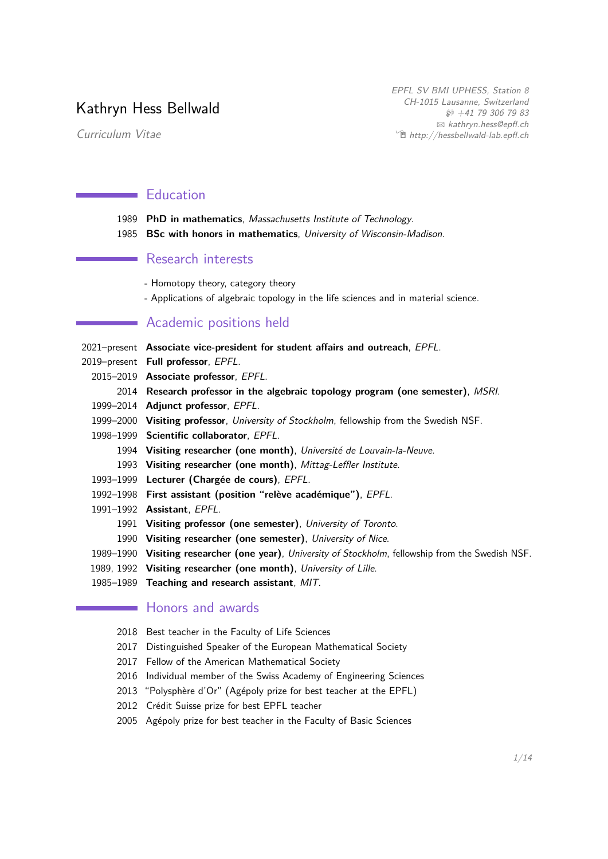# Kathryn Hess Bellwald

Curriculum Vitae

EPFL SV BMI UPHESS, Station 8 CH-1015 Lausanne, Switzerland  $$+41$  79 306 79 83 B [kathryn.hess@epfl.ch](mailto:kathryn.hess@epfl.ch)  $\hat{\mathbb{E}}$  [http://hessbellwald-lab.epfl.ch](http://http://hessbellwald-lab.epfl.ch)

## **Education**

| 1989 PhD in mathematics, Massachusetts Institute of Technology.       |  |
|-----------------------------------------------------------------------|--|
| 1985 BSc with honors in mathematics, University of Wisconsin-Madison. |  |

## Research interests

- Homotopy theory, category theory
- Applications of algebraic topology in the life sciences and in material science.

## Academic positions held

| 2021–present Associate vice-president for student affairs and outreach, EPFL.                       |
|-----------------------------------------------------------------------------------------------------|
| 2019-present Full professor, EPFL.                                                                  |
| 2015-2019 Associate professor, EPFL.                                                                |
| 2014 Research professor in the algebraic topology program (one semester), MSRI.                     |
| 1999–2014 Adjunct professor, EPFL.                                                                  |
| 1999–2000 Visiting professor, University of Stockholm, fellowship from the Swedish NSF.             |
| 1998-1999 Scientific collaborator, EPFL.                                                            |
| 1994 Visiting researcher (one month), Université de Louvain-la-Neuve.                               |
| 1993 Visiting researcher (one month), Mittag-Leffler Institute.                                     |
| 1993-1999 Lecturer (Chargée de cours), EPFL.                                                        |
| 1992-1998 First assistant (position "relève académique"), EPFL.                                     |
| 1991-1992 <b>Assistant</b> , <i>EPFL</i> .                                                          |
| 1991 Visiting professor (one semester), University of Toronto.                                      |
| 1990 Visiting researcher (one semester), University of Nice.                                        |
| 1989-1990 Visiting researcher (one year), University of Stockholm, fellowship from the Swedish NSF. |
| 1989, 1992 Visiting researcher (one month), University of Lille.                                    |
| 1985-1989 Teaching and research assistant, MIT.                                                     |
| Honors and awards                                                                                   |
|                                                                                                     |

- 2018 Best teacher in the Faculty of Life Sciences
- 2017 Distinguished Speaker of the European Mathematical Society
- 2017 Fellow of the American Mathematical Society
- 2016 Individual member of the Swiss Academy of Engineering Sciences
- 2013 "Polysphère d'Or" (Agépoly prize for best teacher at the EPFL)
- 2012 Crédit Suisse prize for best EPFL teacher
- 2005 Agépoly prize for best teacher in the Faculty of Basic Sciences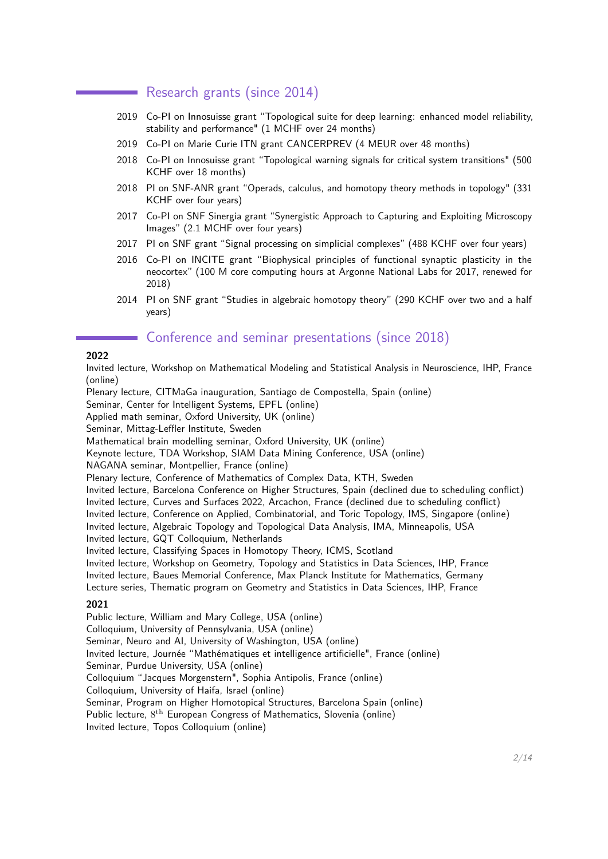## Research grants (since 2014)

- 2019 Co-PI on Innosuisse grant "Topological suite for deep learning: enhanced model reliability, stability and performance" (1 MCHF over 24 months)
- 2019 Co-PI on Marie Curie ITN grant CANCERPREV (4 MEUR over 48 months)
- 2018 Co-PI on Innosuisse grant "Topological warning signals for critical system transitions" (500 KCHF over 18 months)
- 2018 PI on SNF-ANR grant "Operads, calculus, and homotopy theory methods in topology" (331 KCHF over four years)
- 2017 Co-PI on SNF Sinergia grant "Synergistic Approach to Capturing and Exploiting Microscopy Images" (2.1 MCHF over four years)
- 2017 PI on SNF grant "Signal processing on simplicial complexes" (488 KCHF over four years)
- 2016 Co-PI on INCITE grant "Biophysical principles of functional synaptic plasticity in the neocortex" (100 M core computing hours at Argonne National Labs for 2017, renewed for 2018)
- 2014 PI on SNF grant "Studies in algebraic homotopy theory" (290 KCHF over two and a half years)

## **Conference and seminar presentations (since 2018)**

### **2022**

Invited lecture, Workshop on Mathematical Modeling and Statistical Analysis in Neuroscience, IHP, France (online)

Plenary lecture, CITMaGa inauguration, Santiago de Compostella, Spain (online)

Seminar, Center for Intelligent Systems, EPFL (online)

Applied math seminar, Oxford University, UK (online)

Seminar, Mittag-Leffler Institute, Sweden

Mathematical brain modelling seminar, Oxford University, UK (online)

Keynote lecture, TDA Workshop, SIAM Data Mining Conference, USA (online)

NAGANA seminar, Montpellier, France (online)

Plenary lecture, Conference of Mathematics of Complex Data, KTH, Sweden

Invited lecture, Barcelona Conference on Higher Structures, Spain (declined due to scheduling conflict)

Invited lecture, Curves and Surfaces 2022, Arcachon, France (declined due to scheduling conflict)

Invited lecture, Conference on Applied, Combinatorial, and Toric Topology, IMS, Singapore (online)

Invited lecture, Algebraic Topology and Topological Data Analysis, IMA, Minneapolis, USA

Invited lecture, GQT Colloquium, Netherlands

Invited lecture, Classifying Spaces in Homotopy Theory, ICMS, Scotland

Invited lecture, Workshop on Geometry, Topology and Statistics in Data Sciences, IHP, France

Invited lecture, Baues Memorial Conference, Max Planck Institute for Mathematics, Germany

Lecture series, Thematic program on Geometry and Statistics in Data Sciences, IHP, France

### **2021**

Public lecture, William and Mary College, USA (online) Colloquium, University of Pennsylvania, USA (online) Seminar, Neuro and AI, University of Washington, USA (online) Invited lecture, Journée "Mathématiques et intelligence artificielle", France (online) Seminar, Purdue University, USA (online) Colloquium "Jacques Morgenstern", Sophia Antipolis, France (online) Colloquium, University of Haifa, Israel (online) Seminar, Program on Higher Homotopical Structures, Barcelona Spain (online) Public lecture, 8<sup>th</sup> European Congress of Mathematics, Slovenia (online) Invited lecture, Topos Colloquium (online)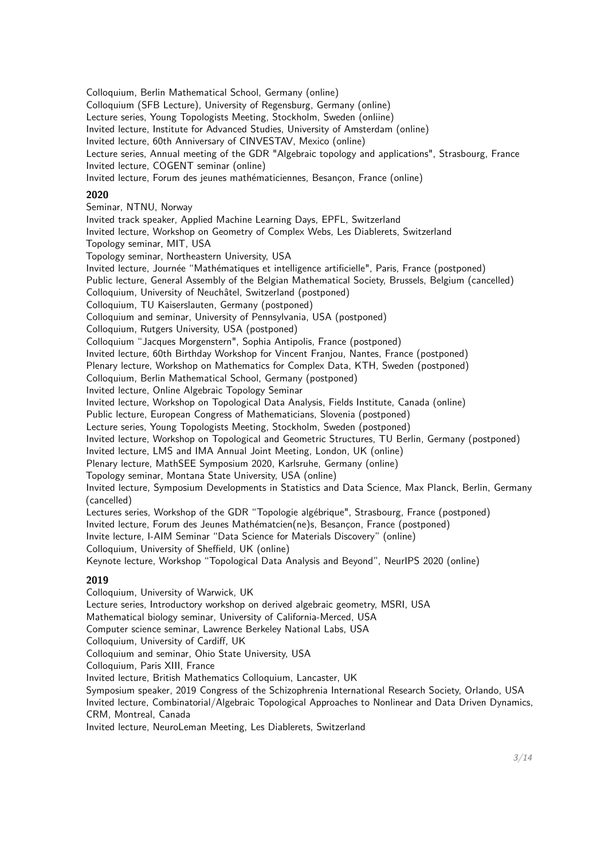Colloquium, Berlin Mathematical School, Germany (online) Colloquium (SFB Lecture), University of Regensburg, Germany (online) Lecture series, Young Topologists Meeting, Stockholm, Sweden (onliine) Invited lecture, Institute for Advanced Studies, University of Amsterdam (online) Invited lecture, 60th Anniversary of CINVESTAV, Mexico (online) Lecture series, Annual meeting of the GDR "Algebraic topology and applications", Strasbourg, France Invited lecture, COGENT seminar (online) Invited lecture, Forum des jeunes mathématiciennes, Besançon, France (online) **2020** Seminar, NTNU, Norway Invited track speaker, Applied Machine Learning Days, EPFL, Switzerland Invited lecture, Workshop on Geometry of Complex Webs, Les Diablerets, Switzerland Topology seminar, MIT, USA Topology seminar, Northeastern University, USA Invited lecture, Journée "Mathématiques et intelligence artificielle", Paris, France (postponed) Public lecture, General Assembly of the Belgian Mathematical Society, Brussels, Belgium (cancelled) Colloquium, University of Neuchâtel, Switzerland (postponed) Colloquium, TU Kaiserslauten, Germany (postponed) Colloquium and seminar, University of Pennsylvania, USA (postponed) Colloquium, Rutgers University, USA (postponed) Colloquium "Jacques Morgenstern", Sophia Antipolis, France (postponed) Invited lecture, 60th Birthday Workshop for Vincent Franjou, Nantes, France (postponed) Plenary lecture, Workshop on Mathematics for Complex Data, KTH, Sweden (postponed) Colloquium, Berlin Mathematical School, Germany (postponed) Invited lecture, Online Algebraic Topology Seminar Invited lecture, Workshop on Topological Data Analysis, Fields Institute, Canada (online) Public lecture, European Congress of Mathematicians, Slovenia (postponed) Lecture series, Young Topologists Meeting, Stockholm, Sweden (postponed) Invited lecture, Workshop on Topological and Geometric Structures, TU Berlin, Germany (postponed) Invited lecture, LMS and IMA Annual Joint Meeting, London, UK (online) Plenary lecture, MathSEE Symposium 2020, Karlsruhe, Germany (online) Topology seminar, Montana State University, USA (online) Invited lecture, Symposium Developments in Statistics and Data Science, Max Planck, Berlin, Germany (cancelled) Lectures series, Workshop of the GDR "Topologie algébrique", Strasbourg, France (postponed) Invited lecture, Forum des Jeunes Mathématcien(ne)s, Besançon, France (postponed) Invite lecture, I-AIM Seminar "Data Science for Materials Discovery" (online) Colloquium, University of Sheffield, UK (online) Keynote lecture, Workshop "Topological Data Analysis and Beyond", NeurIPS 2020 (online) **2019** Colloquium, University of Warwick, UK Lecture series, Introductory workshop on derived algebraic geometry, MSRI, USA Mathematical biology seminar, University of California-Merced, USA Computer science seminar, Lawrence Berkeley National Labs, USA Colloquium, University of Cardiff, UK Colloquium and seminar, Ohio State University, USA Colloquium, Paris XIII, France Invited lecture, British Mathematics Colloquium, Lancaster, UK Symposium speaker, 2019 Congress of the Schizophrenia International Research Society, Orlando, USA

Invited lecture, Combinatorial/Algebraic Topological Approaches to Nonlinear and Data Driven Dynamics, CRM, Montreal, Canada

Invited lecture, NeuroLeman Meeting, Les Diablerets, Switzerland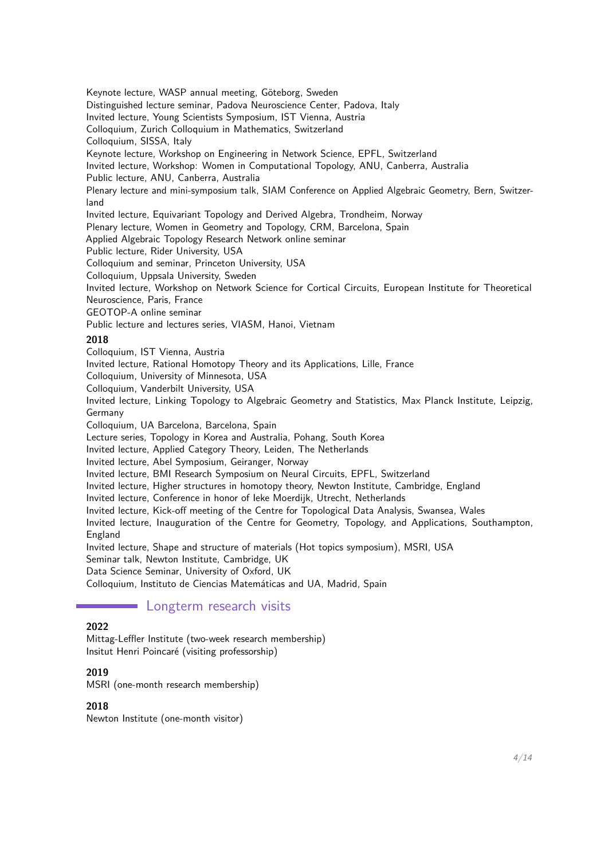Keynote lecture, WASP annual meeting, Göteborg, Sweden Distinguished lecture seminar, Padova Neuroscience Center, Padova, Italy Invited lecture, Young Scientists Symposium, IST Vienna, Austria Colloquium, Zurich Colloquium in Mathematics, Switzerland Colloquium, SISSA, Italy Keynote lecture, Workshop on Engineering in Network Science, EPFL, Switzerland Invited lecture, Workshop: Women in Computational Topology, ANU, Canberra, Australia Public lecture, ANU, Canberra, Australia Plenary lecture and mini-symposium talk, SIAM Conference on Applied Algebraic Geometry, Bern, Switzerland Invited lecture, Equivariant Topology and Derived Algebra, Trondheim, Norway Plenary lecture, Women in Geometry and Topology, CRM, Barcelona, Spain Applied Algebraic Topology Research Network online seminar Public lecture, Rider University, USA Colloquium and seminar, Princeton University, USA Colloquium, Uppsala University, Sweden Invited lecture, Workshop on Network Science for Cortical Circuits, European Institute for Theoretical Neuroscience, Paris, France GEOTOP-A online seminar Public lecture and lectures series, VIASM, Hanoi, Vietnam **2018** Colloquium, IST Vienna, Austria Invited lecture, Rational Homotopy Theory and its Applications, Lille, France Colloquium, University of Minnesota, USA Colloquium, Vanderbilt University, USA Invited lecture, Linking Topology to Algebraic Geometry and Statistics, Max Planck Institute, Leipzig, Germany Colloquium, UA Barcelona, Barcelona, Spain Lecture series, Topology in Korea and Australia, Pohang, South Korea Invited lecture, Applied Category Theory, Leiden, The Netherlands Invited lecture, Abel Symposium, Geiranger, Norway Invited lecture, BMI Research Symposium on Neural Circuits, EPFL, Switzerland

Invited lecture, Higher structures in homotopy theory, Newton Institute, Cambridge, England

Invited lecture, Conference in honor of Ieke Moerdijk, Utrecht, Netherlands

Invited lecture, Kick-off meeting of the Centre for Topological Data Analysis, Swansea, Wales

Invited lecture, Inauguration of the Centre for Geometry, Topology, and Applications, Southampton, England

Invited lecture, Shape and structure of materials (Hot topics symposium), MSRI, USA

Seminar talk, Newton Institute, Cambridge, UK

Data Science Seminar, University of Oxford, UK Colloquium, Instituto de Ciencias Matemáticas and UA, Madrid, Spain

## **Longterm research visits**

## **2022**

Mittag-Leffler Institute (two-week research membership) Insitut Henri Poincaré (visiting professorship)

### **2019**

MSRI (one-month research membership)

## **2018**

Newton Institute (one-month visitor)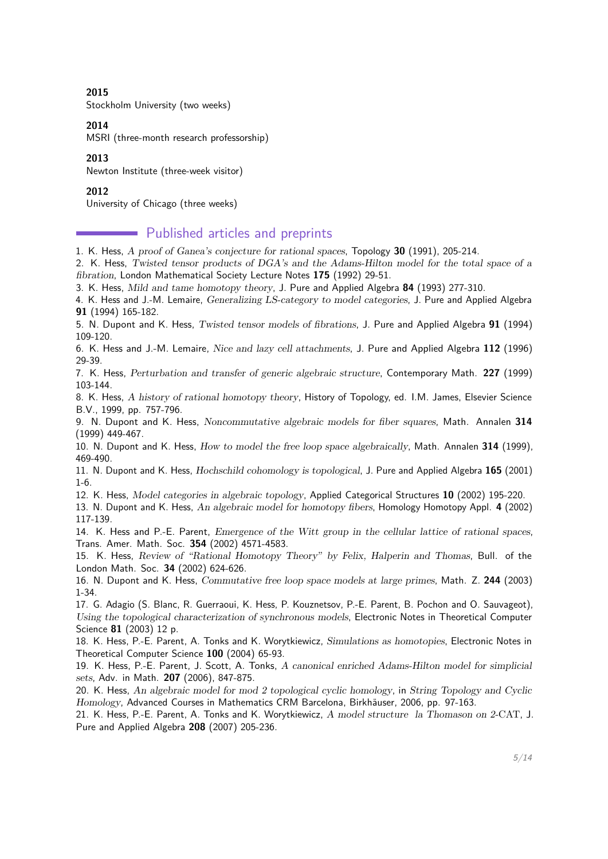#### **2015**

Stockholm University (two weeks)

#### **2014**

MSRI (three-month research professorship)

#### **2013**

Newton Institute (three-week visitor)

### **2012**

University of Chicago (three weeks)

## **Published articles and preprints**

1. K. Hess, A proof of Ganea's conjecture for rational spaces, Topology **30** (1991), 205-214.

2. K. Hess, Twisted tensor products of DGA's and the Adams-Hilton model for the total space of a fibration, London Mathematical Society Lecture Notes **175** (1992) 29-51.

3. K. Hess, Mild and tame homotopy theory, J. Pure and Applied Algebra **84** (1993) 277-310.

4. K. Hess and J.-M. Lemaire, Generalizing LS-category to model categories, J. Pure and Applied Algebra **91** (1994) 165-182.

5. N. Dupont and K. Hess, Twisted tensor models of fibrations, J. Pure and Applied Algebra **91** (1994) 109-120.

6. K. Hess and J.-M. Lemaire, Nice and lazy cell attachments, J. Pure and Applied Algebra **112** (1996) 29-39.

7. K. Hess, Perturbation and transfer of generic algebraic structure, Contemporary Math. **227** (1999) 103-144.

8. K. Hess, A history of rational homotopy theory, History of Topology, ed. I.M. James, Elsevier Science B.V., 1999, pp. 757-796.

9. N. Dupont and K. Hess, Noncommutative algebraic models for fiber squares, Math. Annalen **314** (1999) 449-467.

10. N. Dupont and K. Hess, How to model the free loop space algebraically, Math. Annalen **314** (1999), 469-490.

11. N. Dupont and K. Hess, Hochschild cohomology is topological, J. Pure and Applied Algebra **165** (2001) 1-6.

12. K. Hess, Model categories in algebraic topology, Applied Categorical Structures **10** (2002) 195-220.

13. N. Dupont and K. Hess, An algebraic model for homotopy fibers, Homology Homotopy Appl. **4** (2002) 117-139.

14. K. Hess and P.-E. Parent, Emergence of the Witt group in the cellular lattice of rational spaces, Trans. Amer. Math. Soc. **354** (2002) 4571-4583.

15. K. Hess, Review of "Rational Homotopy Theory" by Felix, Halperin and Thomas, Bull. of the London Math. Soc. **34** (2002) 624-626.

16. N. Dupont and K. Hess, Commutative free loop space models at large primes, Math. Z. **244** (2003) 1-34.

17. G. Adagio (S. Blanc, R. Guerraoui, K. Hess, P. Kouznetsov, P.-E. Parent, B. Pochon and O. Sauvageot), Using the topological characterization of synchronous models, Electronic Notes in Theoretical Computer Science **81** (2003) 12 p.

18. K. Hess, P.-E. Parent, A. Tonks and K. Worytkiewicz, Simulations as homotopies, Electronic Notes in Theoretical Computer Science **100** (2004) 65-93.

19. K. Hess, P.-E. Parent, J. Scott, A. Tonks, A canonical enriched Adams-Hilton model for simplicial sets, Adv. in Math. **207** (2006), 847-875.

20. K. Hess, An algebraic model for mod 2 topological cyclic homology, in String Topology and Cyclic Homology, Advanced Courses in Mathematics CRM Barcelona, Birkhäuser, 2006, pp. 97-163.

21. K. Hess, P.-E. Parent, A. Tonks and K. Worytkiewicz, A model structure la Thomason on 2-CAT, J. Pure and Applied Algebra **208** (2007) 205-236.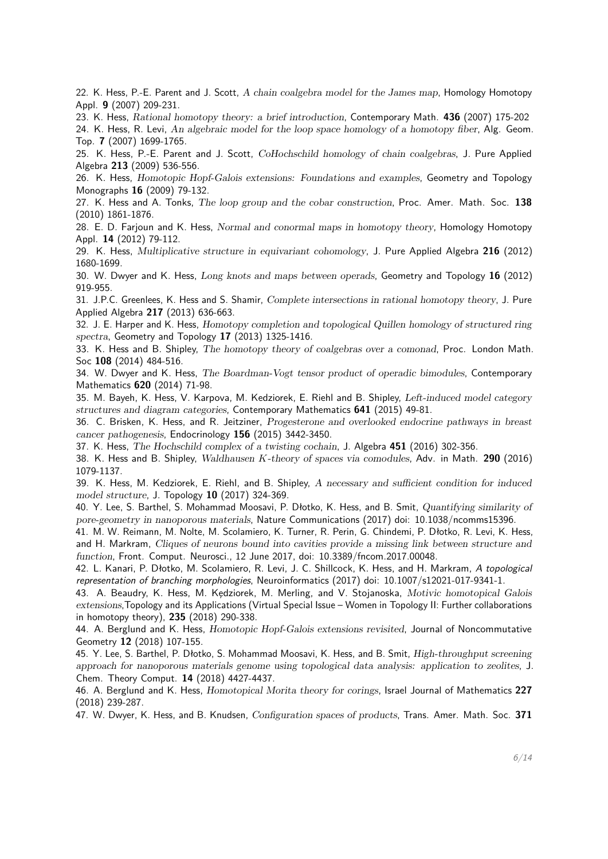22. K. Hess, P.-E. Parent and J. Scott, A chain coalgebra model for the James map, Homology Homotopy Appl. **9** (2007) 209-231.

23. K. Hess, Rational homotopy theory: a brief introduction, Contemporary Math. **436** (2007) 175-202

24. K. Hess, R. Levi, An algebraic model for the loop space homology of a homotopy fiber, Alg. Geom. Top. **7** (2007) 1699-1765.

25. K. Hess, P.-E. Parent and J. Scott, CoHochschild homology of chain coalgebras, J. Pure Applied Algebra **213** (2009) 536-556.

26. K. Hess, Homotopic Hopf-Galois extensions: Foundations and examples, Geometry and Topology Monographs **16** (2009) 79-132.

27. K. Hess and A. Tonks, The loop group and the cobar construction, Proc. Amer. Math. Soc. **138** (2010) 1861-1876.

28. E. D. Farjoun and K. Hess, Normal and conormal maps in homotopy theory, Homology Homotopy Appl. **14** (2012) 79-112.

29. K. Hess, Multiplicative structure in equivariant cohomology, J. Pure Applied Algebra **216** (2012) 1680-1699.

30. W. Dwyer and K. Hess, Long knots and maps between operads, Geometry and Topology **16** (2012) 919-955.

31. J.P.C. Greenlees, K. Hess and S. Shamir, Complete intersections in rational homotopy theory, J. Pure Applied Algebra **217** (2013) 636-663.

32. J. E. Harper and K. Hess, Homotopy completion and topological Quillen homology of structured ring spectra, Geometry and Topology **17** (2013) 1325-1416.

33. K. Hess and B. Shipley, The homotopy theory of coalgebras over a comonad, Proc. London Math. Soc **108** (2014) 484-516.

34. W. Dwyer and K. Hess, The Boardman-Vogt tensor product of operadic bimodules, Contemporary Mathematics **620** (2014) 71-98.

35. M. Bayeh, K. Hess, V. Karpova, M. Kedziorek, E. Riehl and B. Shipley, Left-induced model category structures and diagram categories, Contemporary Mathematics **641** (2015) 49-81.

36. C. Brisken, K. Hess, and R. Jeitziner, Progesterone and overlooked endocrine pathways in breast cancer pathogenesis, Endocrinology **156** (2015) 3442-3450.

37. K. Hess, The Hochschild complex of a twisting cochain, J. Algebra **451** (2016) 302-356.

38. K. Hess and B. Shipley, Waldhausen *K*-theory of spaces via comodules, Adv. in Math. **290** (2016) 1079-1137.

39. K. Hess, M. Kedziorek, E. Riehl, and B. Shipley, A necessary and sufficient condition for induced model structure, J. Topology **10** (2017) 324-369.

40. Y. Lee, S. Barthel, S. Mohammad Moosavi, P. Dłotko, K. Hess, and B. Smit, Quantifying similarity of pore-geometry in nanoporous materials, Nature Communications (2017) doi: 10.1038/ncomms15396.

41. M. W. Reimann, M. Nolte, M. Scolamiero, K. Turner, R. Perin, G. Chindemi, P. Dłotko, R. Levi, K. Hess, and H. Markram, Cliques of neurons bound into cavities provide a missing link between structure and function, Front. Comput. Neurosci., 12 June 2017, doi: 10.3389/fncom.2017.00048.

42. L. Kanari, P. Dłotko, M. Scolamiero, R. Levi, J. C. Shillcock, K. Hess, and H. Markram, A topological representation of branching morphologies, Neuroinformatics (2017) doi: 10.1007/s12021-017-9341-1.

43. A. Beaudry, K. Hess, M. Kedziorek, M. Merling, and V. Stojanoska, Motivic homotopical Galois extensions,Topology and its Applications (Virtual Special Issue – Women in Topology II: Further collaborations in homotopy theory), **235** (2018) 290-338.

44. A. Berglund and K. Hess, Homotopic Hopf-Galois extensions revisited, Journal of Noncommutative Geometry **12** (2018) 107-155.

45. Y. Lee, S. Barthel, P. Dłotko, S. Mohammad Moosavi, K. Hess, and B. Smit, High-throughput screening approach for nanoporous materials genome using topological data analysis: application to zeolites, J. Chem. Theory Comput. **14** (2018) 4427-4437.

46. A. Berglund and K. Hess, Homotopical Morita theory for corings, Israel Journal of Mathematics **227** (2018) 239-287.

47. W. Dwyer, K. Hess, and B. Knudsen, Configuration spaces of products, Trans. Amer. Math. Soc. **371**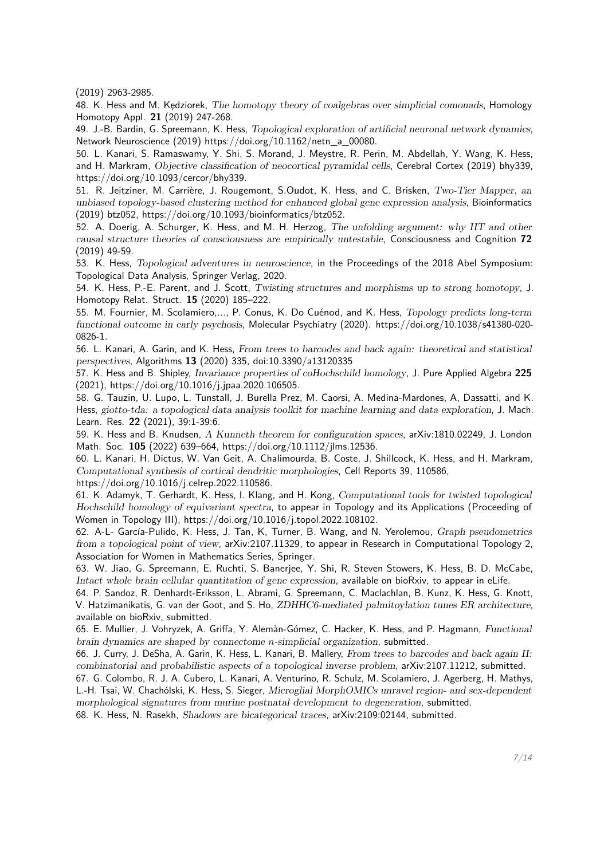(2019) 2963-2985.

48. K. Hess and M. Kedziorek, The homotopy theory of coalgebras over simplicial comonads, Homology Homotopy Appl. **21** (2019) 247-268.

49. J.-B. Bardin, G. Spreemann, K. Hess, Topological exploration of artificial neuronal network dynamics, Network Neuroscience (2019) https://doi.org/10.1162/netn\_a\_00080.

50. L. Kanari, S. Ramaswamy, Y. Shi, S. Morand, J. Meystre, R. Perin, M. Abdellah, Y. Wang, K. Hess, and H. Markram, Objective classification of neocortical pyramidal cells, Cerebral Cortex (2019) bhy339, https://doi.org/10.1093/cercor/bhy339.

51. R. Jeitziner, M. Carrière, J. Rougemont, S.Oudot, K. Hess, and C. Brisken, Two-Tier Mapper, an unbiased topology-based clustering method for enhanced global gene expression analysis, Bioinformatics (2019) btz052, https://doi.org/10.1093/bioinformatics/btz052.

52. A. Doerig, A. Schurger, K. Hess, and M. H. Herzog, The unfolding argument: why IIT and other causal structure theories of consciousness are empirically untestable, Consciousness and Cognition **72** (2019) 49-59.

53. K. Hess, Topological adventures in neuroscience, in the Proceedings of the 2018 Abel Symposium: Topological Data Analysis, Springer Verlag, 2020.

54. K. Hess, P.-E. Parent, and J. Scott, Twisting structures and morphisms up to strong homotopy, J. Homotopy Relat. Struct. **15** (2020) 185–222.

55. M. Fournier, M. Scolamiero,..., P. Conus, K. Do Cuénod, and K. Hess, Topology predicts long-term functional outcome in early psychosis, Molecular Psychiatry (2020). https://doi.org/10.1038/s41380-020- 0826-1.

56. L. Kanari, A. Garin, and K. Hess, From trees to barcodes and back again: theoretical and statistical perspectives, Algorithms **13** (2020) 335, doi:10.3390/a13120335

57. K. Hess and B. Shipley, Invariance properties of coHochschild homology, J. Pure Applied Algebra **225** (2021), https://doi.org/10.1016/j.jpaa.2020.106505.

58. G. Tauzin, U. Lupo, L. Tunstall, J. Burella Prez, M. Caorsi, A. Medina-Mardones, A, Dassatti, and K. Hess, giotto-tda: a topological data analysis toolkit for machine learning and data exploration, J. Mach. Learn. Res. **22** (2021), 39:1-39:6.

59. K. Hess and B. Knudsen, A Kunneth theorem for configuration spaces, arXiv:1810.02249, J. London Math. Soc. **105** (2022) 639–664, https://doi.org/10.1112/jlms.12536.

60. L. Kanari, H. Dictus, W. Van Geit, A. Chalimourda, B. Coste, J. Shillcock, K. Hess, and H. Markram, Computational synthesis of cortical dendritic morphologies, Cell Reports 39, 110586, https://doi.org/10.1016/j.celrep.2022.110586.

61. K. Adamyk, T. Gerhardt, K. Hess, I. Klang, and H. Kong, Computational tools for twisted topological Hochschild homology of equivariant spectra, to appear in Topology and its Applications (Proceeding of Women in Topology III), https://doi.org/10.1016/j.topol.2022.108102.

62. A-L- García-Pulido, K. Hess, J. Tan, K, Turner, B. Wang, and N. Yerolemou, Graph pseudometrics from a topological point of view, arXiv:2107.11329, to appear in Research in Computational Topology 2, Association for Women in Mathematics Series, Springer.

63. W. Jiao, G. Spreemann, E. Ruchti, S. Banerjee, Y. Shi, R. Steven Stowers, K. Hess, B. D. McCabe, Intact whole brain cellular quantitation of gene expression, available on bioRxiv, to appear in eLife.

64. P. Sandoz, R. Denhardt-Eriksson, L. Abrami, G. Spreemann, C. Maclachlan, B. Kunz, K. Hess, G. Knott, V. Hatzimanikatis, G. van der Goot, and S. Ho, ZDHHC6-mediated palmitoylation tunes ER architecture, available on bioRxiv, submitted.

65. E. Mullier, J. Vohryzek, A. Griffa, Y. Alemàn-Gómez, C. Hacker, K. Hess, and P. Hagmann, Functional brain dynamics are shaped by connectome *n*-simplicial organization, submitted.

66. J. Curry, J. DeSha, A. Garin, K. Hess, L. Kanari, B. Mallery, From trees to barcodes and back again II: combinatorial and probabilistic aspects of a topological inverse problem, arXiv:2107.11212, submitted.

67. G. Colombo, R. J. A. Cubero, L. Kanari, A. Venturino, R. Schulz, M. Scolamiero, J. Agerberg, H. Mathys, L.-H. Tsai, W. Chachólski, K. Hess, S. Sieger, Microglial MorphOMICs unravel region- and sex-dependent morphological signatures from murine postnatal development to degeneration, submitted.

68. K. Hess, N. Rasekh, Shadows are bicategorical traces, arXiv:2109:02144, submitted.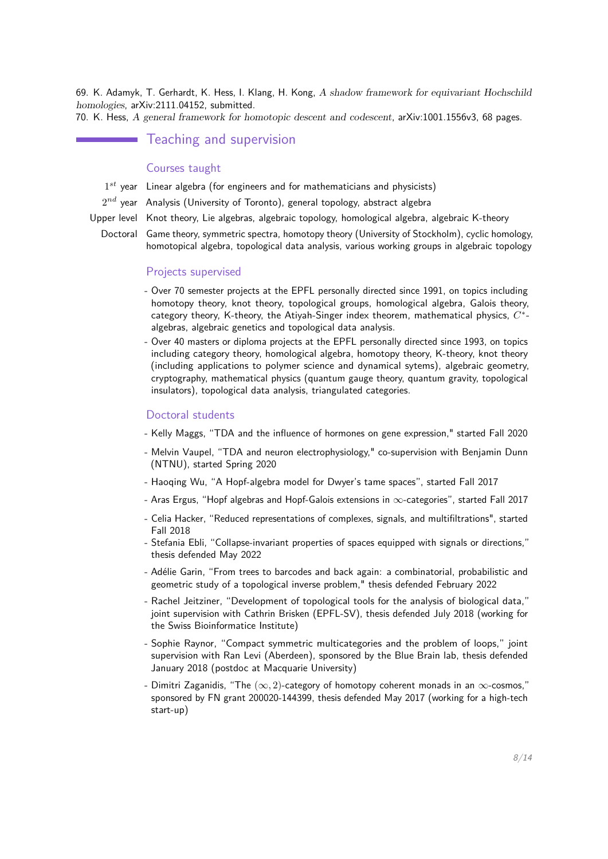69. K. Adamyk, T. Gerhardt, K. Hess, I. Klang, H. Kong, A shadow framework for equivariant Hochschild homologies, arXiv:2111.04152, submitted.

70. K. Hess, A general framework for homotopic descent and codescent, arXiv:1001.1556v3, 68 pages.

## Teaching and supervision

### Courses taught

- 1 *st* year Linear algebra (for engineers and for mathematicians and physicists)
- $2^{nd}$  year  $\,$  Analysis (University of Toronto), general topology, abstract algebra
- Upper level Knot theory, Lie algebras, algebraic topology, homological algebra, algebraic K-theory
	- Doctoral Game theory, symmetric spectra, homotopy theory (University of Stockholm), cyclic homology, homotopical algebra, topological data analysis, various working groups in algebraic topology

#### Projects supervised

- Over 70 semester projects at the EPFL personally directed since 1991, on topics including homotopy theory, knot theory, topological groups, homological algebra, Galois theory, category theory, K-theory, the Atiyah-Singer index theorem, mathematical physics, *C* ∗ algebras, algebraic genetics and topological data analysis.
- Over 40 masters or diploma projects at the EPFL personally directed since 1993, on topics including category theory, homological algebra, homotopy theory, K-theory, knot theory (including applications to polymer science and dynamical sytems), algebraic geometry, cryptography, mathematical physics (quantum gauge theory, quantum gravity, topological insulators), topological data analysis, triangulated categories.

### Doctoral students

- Kelly Maggs, "TDA and the influence of hormones on gene expression," started Fall 2020
- Melvin Vaupel, "TDA and neuron electrophysiology," co-supervision with Benjamin Dunn (NTNU), started Spring 2020
- Haoqing Wu, "A Hopf-algebra model for Dwyer's tame spaces", started Fall 2017
- Aras Ergus, "Hopf algebras and Hopf-Galois extensions in  $\infty$ -categories", started Fall 2017
- Celia Hacker, "Reduced representations of complexes, signals, and multifiltrations", started Fall 2018
- Stefania Ebli, "Collapse-invariant properties of spaces equipped with signals or directions," thesis defended May 2022
- Adélie Garin, "From trees to barcodes and back again: a combinatorial, probabilistic and geometric study of a topological inverse problem," thesis defended February 2022
- Rachel Jeitziner, "Development of topological tools for the analysis of biological data," joint supervision with Cathrin Brisken (EPFL-SV), thesis defended July 2018 (working for the Swiss Bioinformatice Institute)
- Sophie Raynor, "Compact symmetric multicategories and the problem of loops," joint supervision with Ran Levi (Aberdeen), sponsored by the Blue Brain lab, thesis defended January 2018 (postdoc at Macquarie University)
- Dimitri Zaganidis, "The (∞*,* 2)-category of homotopy coherent monads in an ∞-cosmos," sponsored by FN grant 200020-144399, thesis defended May 2017 (working for a high-tech start-up)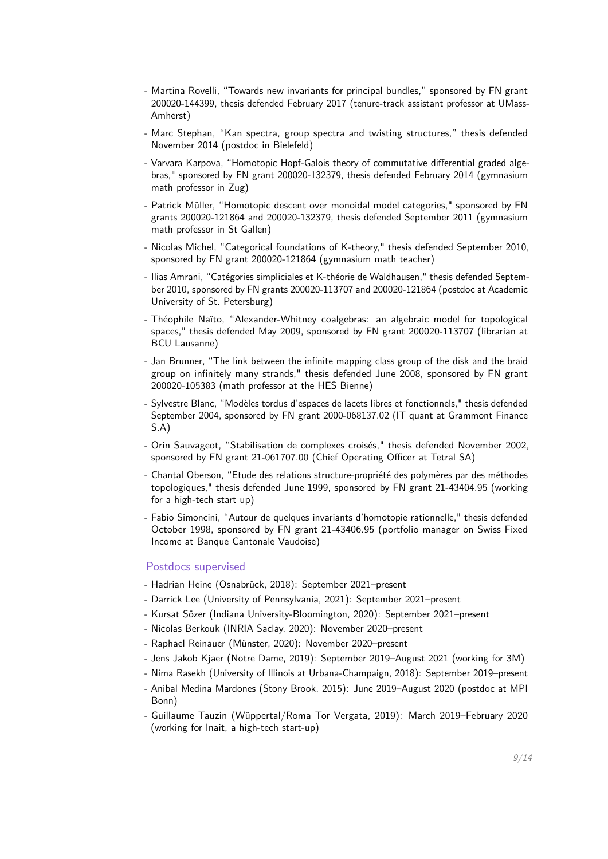- Martina Rovelli, "Towards new invariants for principal bundles," sponsored by FN grant 200020-144399, thesis defended February 2017 (tenure-track assistant professor at UMass-Amherst)
- Marc Stephan, "Kan spectra, group spectra and twisting structures," thesis defended November 2014 (postdoc in Bielefeld)
- Varvara Karpova, "Homotopic Hopf-Galois theory of commutative differential graded algebras," sponsored by FN grant 200020-132379, thesis defended February 2014 (gymnasium math professor in Zug)
- Patrick Müller, "Homotopic descent over monoidal model categories," sponsored by FN grants 200020-121864 and 200020-132379, thesis defended September 2011 (gymnasium math professor in St Gallen)
- Nicolas Michel, "Categorical foundations of K-theory," thesis defended September 2010, sponsored by FN grant 200020-121864 (gymnasium math teacher)
- Ilias Amrani, "Catégories simpliciales et K-théorie de Waldhausen," thesis defended September 2010, sponsored by FN grants 200020-113707 and 200020-121864 (postdoc at Academic University of St. Petersburg)
- Théophile Naïto, "Alexander-Whitney coalgebras: an algebraic model for topological spaces," thesis defended May 2009, sponsored by FN grant 200020-113707 (librarian at BCU Lausanne)
- Jan Brunner, "The link between the infinite mapping class group of the disk and the braid group on infinitely many strands," thesis defended June 2008, sponsored by FN grant 200020-105383 (math professor at the HES Bienne)
- Sylvestre Blanc, "Modèles tordus d'espaces de lacets libres et fonctionnels," thesis defended September 2004, sponsored by FN grant 2000-068137.02 (IT quant at Grammont Finance S.A)
- Orin Sauvageot, "Stabilisation de complexes croisés," thesis defended November 2002, sponsored by FN grant 21-061707.00 (Chief Operating Officer at Tetral SA)
- Chantal Oberson, "Etude des relations structure-propriété des polymères par des méthodes topologiques," thesis defended June 1999, sponsored by FN grant 21-43404.95 (working for a high-tech start up)
- Fabio Simoncini, "Autour de quelques invariants d'homotopie rationnelle," thesis defended October 1998, sponsored by FN grant 21-43406.95 (portfolio manager on Swiss Fixed Income at Banque Cantonale Vaudoise)

### Postdocs supervised

- Hadrian Heine (Osnabrück, 2018): September 2021–present
- Darrick Lee (University of Pennsylvania, 2021): September 2021–present
- Kursat Sözer (Indiana University-Bloomington, 2020): September 2021–present
- Nicolas Berkouk (INRIA Saclay, 2020): November 2020–present
- Raphael Reinauer (Münster, 2020): November 2020–present
- Jens Jakob Kjaer (Notre Dame, 2019): September 2019–August 2021 (working for 3M)
- Nima Rasekh (University of Illinois at Urbana-Champaign, 2018): September 2019–present
- Anibal Medina Mardones (Stony Brook, 2015): June 2019–August 2020 (postdoc at MPI Bonn)
- Guillaume Tauzin (Wüppertal/Roma Tor Vergata, 2019): March 2019–February 2020 (working for Inait, a high-tech start-up)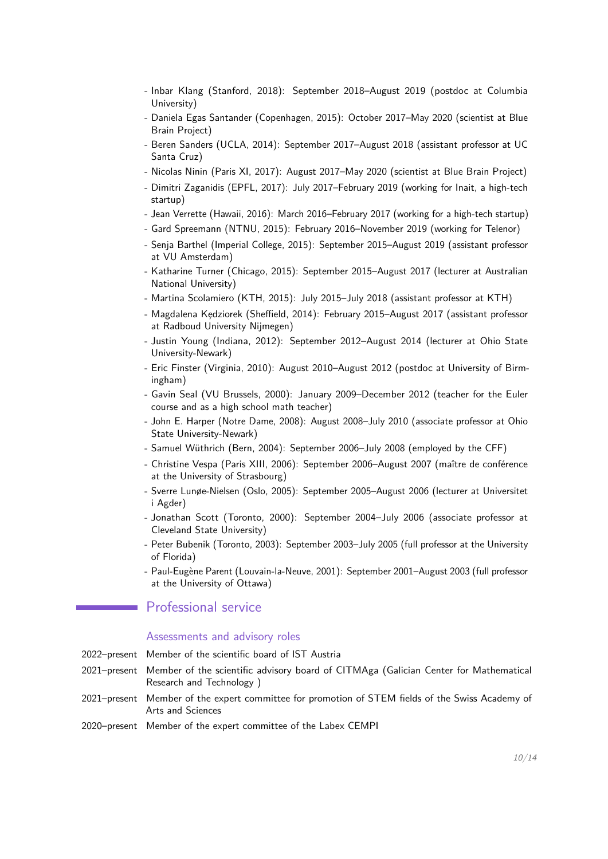- Inbar Klang (Stanford, 2018): September 2018–August 2019 (postdoc at Columbia University)
- Daniela Egas Santander (Copenhagen, 2015): October 2017–May 2020 (scientist at Blue Brain Project)
- Beren Sanders (UCLA, 2014): September 2017–August 2018 (assistant professor at UC Santa Cruz)
- Nicolas Ninin (Paris XI, 2017): August 2017–May 2020 (scientist at Blue Brain Project)
- Dimitri Zaganidis (EPFL, 2017): July 2017–February 2019 (working for Inait, a high-tech startup)
- Jean Verrette (Hawaii, 2016): March 2016–February 2017 (working for a high-tech startup)
- Gard Spreemann (NTNU, 2015): February 2016–November 2019 (working for Telenor)
- Senja Barthel (Imperial College, 2015): September 2015–August 2019 (assistant professor at VU Amsterdam)
- Katharine Turner (Chicago, 2015): September 2015–August 2017 (lecturer at Australian National University)
- Martina Scolamiero (KTH, 2015): July 2015–July 2018 (assistant professor at KTH)
- Magdalena Kędziorek (Sheffield, 2014): February 2015–August 2017 (assistant professor at Radboud University Nijmegen)
- Justin Young (Indiana, 2012): September 2012–August 2014 (lecturer at Ohio State University-Newark)
- Eric Finster (Virginia, 2010): August 2010–August 2012 (postdoc at University of Birmingham)
- Gavin Seal (VU Brussels, 2000): January 2009–December 2012 (teacher for the Euler course and as a high school math teacher)
- John E. Harper (Notre Dame, 2008): August 2008–July 2010 (associate professor at Ohio State University-Newark)
- Samuel Wüthrich (Bern, 2004): September 2006–July 2008 (employed by the CFF)
- Christine Vespa (Paris XIII, 2006): September 2006–August 2007 (maître de conférence at the University of Strasbourg)
- Sverre Lunøe-Nielsen (Oslo, 2005): September 2005–August 2006 (lecturer at Universitet i Agder)
- Jonathan Scott (Toronto, 2000): September 2004–July 2006 (associate professor at Cleveland State University)
- Peter Bubenik (Toronto, 2003): September 2003–July 2005 (full professor at the University of Florida)
- Paul-Eugène Parent (Louvain-la-Neuve, 2001): September 2001–August 2003 (full professor at the University of Ottawa)

### Professional service

### Assessments and advisory roles

- 2022–present Member of the scientific board of IST Austria
- 2021–present Member of the scientific advisory board of CITMAga (Galician Center for Mathematical Research and Technology )
- 2021–present Member of the expert committee for promotion of STEM fields of the Swiss Academy of Arts and Sciences
- 2020–present Member of the expert committee of the Labex CEMPI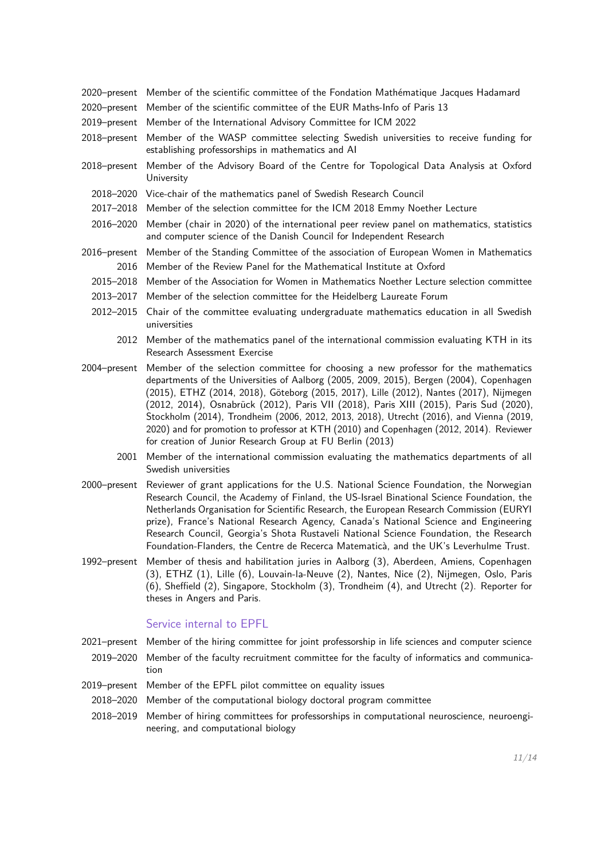- 2020–present Member of the scientific committee of the Fondation Mathématique Jacques Hadamard
- 2020–present Member of the scientific committee of the EUR Maths-Info of Paris 13
- 2019–present Member of the International Advisory Committee for ICM 2022
- 2018–present Member of the WASP committee selecting Swedish universities to receive funding for establishing professorships in mathematics and AI
- 2018–present Member of the Advisory Board of the Centre for Topological Data Analysis at Oxford University
	- 2018–2020 Vice-chair of the mathematics panel of Swedish Research Council
	- 2017–2018 Member of the selection committee for the ICM 2018 Emmy Noether Lecture
	- 2016–2020 Member (chair in 2020) of the international peer review panel on mathematics, statistics and computer science of the Danish Council for Independent Research
- 2016–present Member of the Standing Committee of the association of European Women in Mathematics 2016 Member of the Review Panel for the Mathematical Institute at Oxford
	- 2015–2018 Member of the Association for Women in Mathematics Noether Lecture selection committee
	- 2013–2017 Member of the selection committee for the Heidelberg Laureate Forum
	- 2012–2015 Chair of the committee evaluating undergraduate mathematics education in all Swedish universities
		- 2012 Member of the mathematics panel of the international commission evaluating KTH in its Research Assessment Exercise
- 2004–present Member of the selection committee for choosing a new professor for the mathematics departments of the Universities of Aalborg (2005, 2009, 2015), Bergen (2004), Copenhagen (2015), ETHZ (2014, 2018), Göteborg (2015, 2017), Lille (2012), Nantes (2017), Nijmegen (2012, 2014), Osnabrück (2012), Paris VII (2018), Paris XIII (2015), Paris Sud (2020), Stockholm (2014), Trondheim (2006, 2012, 2013, 2018), Utrecht (2016), and Vienna (2019, 2020) and for promotion to professor at KTH (2010) and Copenhagen (2012, 2014). Reviewer for creation of Junior Research Group at FU Berlin (2013)
	- 2001 Member of the international commission evaluating the mathematics departments of all Swedish universities
- 2000–present Reviewer of grant applications for the U.S. National Science Foundation, the Norwegian Research Council, the Academy of Finland, the US-Israel Binational Science Foundation, the Netherlands Organisation for Scientific Research, the European Research Commission (EURYI prize), France's National Research Agency, Canada's National Science and Engineering Research Council, Georgia's Shota Rustaveli National Science Foundation, the Research Foundation-Flanders, the Centre de Recerca Matematicà, and the UK's Leverhulme Trust.
- 1992–present Member of thesis and habilitation juries in Aalborg (3), Aberdeen, Amiens, Copenhagen (3), ETHZ (1), Lille (6), Louvain-la-Neuve (2), Nantes, Nice (2), Nijmegen, Oslo, Paris (6), Sheffield (2), Singapore, Stockholm (3), Trondheim (4), and Utrecht (2). Reporter for theses in Angers and Paris.

### Service internal to EPFL

2021–present Member of the hiring committee for joint professorship in life sciences and computer science

- 2019–2020 Member of the faculty recruitment committee for the faculty of informatics and communication
- 2019–present Member of the EPFL pilot committee on equality issues
- 2018–2020 Member of the computational biology doctoral program committee
- 2018–2019 Member of hiring committees for professorships in computational neuroscience, neuroengineering, and computational biology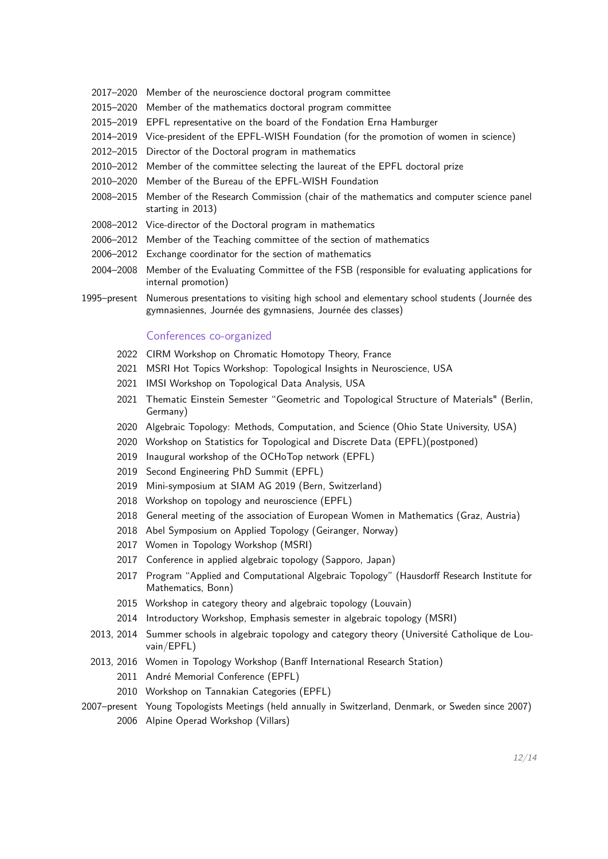- 2017–2020 Member of the neuroscience doctoral program committee
- 2015–2020 Member of the mathematics doctoral program committee
- 2015–2019 EPFL representative on the board of the Fondation Erna Hamburger
- 2014–2019 Vice-president of the EPFL-WISH Foundation (for the promotion of women in science)
- 2012–2015 Director of the Doctoral program in mathematics
- 2010–2012 Member of the committee selecting the laureat of the EPFL doctoral prize
- 2010–2020 Member of the Bureau of the EPFL-WISH Foundation
- 2008–2015 Member of the Research Commission (chair of the mathematics and computer science panel starting in 2013)
- 2008–2012 Vice-director of the Doctoral program in mathematics
- 2006–2012 Member of the Teaching committee of the section of mathematics
- 2006–2012 Exchange coordinator for the section of mathematics
- 2004–2008 Member of the Evaluating Committee of the FSB (responsible for evaluating applications for internal promotion)
- 1995–present Numerous presentations to visiting high school and elementary school students (Journée des gymnasiennes, Journée des gymnasiens, Journée des classes)

### Conferences co-organized

- 2022 CIRM Workshop on Chromatic Homotopy Theory, France
- 2021 MSRI Hot Topics Workshop: Topological Insights in Neuroscience, USA
- 2021 IMSI Workshop on Topological Data Analysis, USA
- 2021 Thematic Einstein Semester "Geometric and Topological Structure of Materials" (Berlin, Germany)
- 2020 Algebraic Topology: Methods, Computation, and Science (Ohio State University, USA)
- 2020 Workshop on Statistics for Topological and Discrete Data (EPFL)(postponed)
- 2019 Inaugural workshop of the OCHoTop network (EPFL)
- 2019 Second Engineering PhD Summit (EPFL)
- 2019 Mini-symposium at SIAM AG 2019 (Bern, Switzerland)
- 2018 Workshop on topology and neuroscience (EPFL)
- 2018 General meeting of the association of European Women in Mathematics (Graz, Austria)
- 2018 Abel Symposium on Applied Topology (Geiranger, Norway)
- 2017 Women in Topology Workshop (MSRI)
- 2017 Conference in applied algebraic topology (Sapporo, Japan)
- 2017 Program "Applied and Computational Algebraic Topology" (Hausdorff Research Institute for Mathematics, Bonn)
- 2015 Workshop in category theory and algebraic topology (Louvain)
- 2014 Introductory Workshop, Emphasis semester in algebraic topology (MSRI)
- 2013, 2014 Summer schools in algebraic topology and category theory (Université Catholique de Louvain/EPFL)
- 2013, 2016 Women in Topology Workshop (Banff International Research Station)
	- 2011 André Memorial Conference (EPFL)
	- 2010 Workshop on Tannakian Categories (EPFL)
- 2007–present Young Topologists Meetings (held annually in Switzerland, Denmark, or Sweden since 2007) 2006 Alpine Operad Workshop (Villars)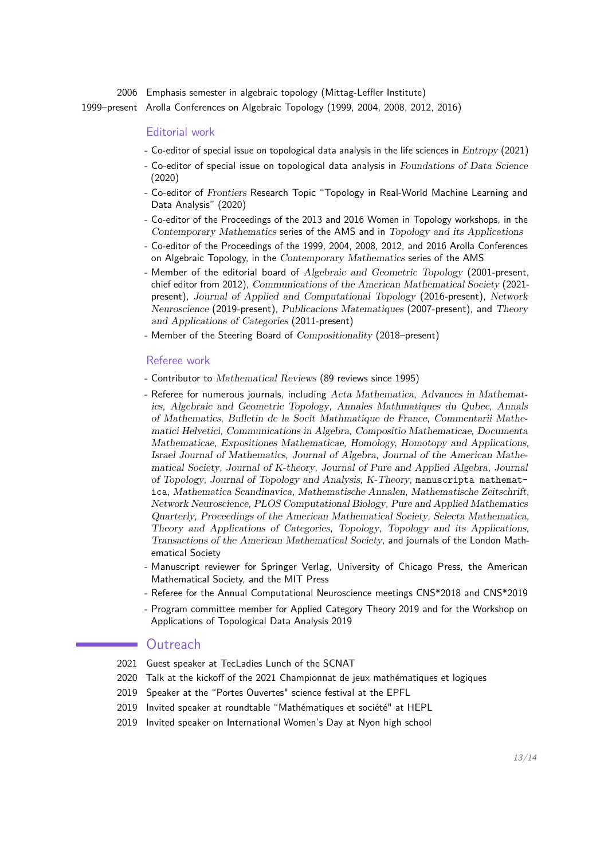2006 Emphasis semester in algebraic topology (Mittag-Leffler Institute)

1999–present Arolla Conferences on Algebraic Topology (1999, 2004, 2008, 2012, 2016)

### Editorial work

- Co-editor of special issue on topological data analysis in the life sciences in Entropy (2021)
- Co-editor of special issue on topological data analysis in Foundations of Data Science (2020)
- Co-editor of Frontiers Research Topic "Topology in Real-World Machine Learning and Data Analysis" (2020)
- Co-editor of the Proceedings of the 2013 and 2016 Women in Topology workshops, in the Contemporary Mathematics series of the AMS and in Topology and its Applications
- Co-editor of the Proceedings of the 1999, 2004, 2008, 2012, and 2016 Arolla Conferences on Algebraic Topology, in the Contemporary Mathematics series of the AMS
- Member of the editorial board of Algebraic and Geometric Topology (2001-present, chief editor from 2012), Communications of the American Mathematical Society (2021 present), Journal of Applied and Computational Topology (2016-present), Network Neuroscience (2019-present), Publicacions Matematiques (2007-present), and Theory and Applications of Categories (2011-present)
- Member of the Steering Board of Compositionality (2018–present)

#### Referee work

- Contributor to Mathematical Reviews (89 reviews since 1995)
- Referee for numerous journals, including Acta Mathematica, Advances in Mathematics, Algebraic and Geometric Topology, Annales Mathmatiques du Qubec, Annals of Mathematics, Bulletin de la Socit Mathmatique de France, Commentarii Mathematici Helvetici, Communications in Algebra, Compositio Mathematicae, Documenta Mathematicae, Expositiones Mathematicae, Homology, Homotopy and Applications, Israel Journal of Mathematics, Journal of Algebra, Journal of the American Mathematical Society, Journal of K-theory, Journal of Pure and Applied Algebra, Journal of Topology, Journal of Topology and Analysis, K-Theory, manuscripta mathematica, Mathematica Scandinavica, Mathematische Annalen, Mathematische Zeitschrift, Network Neuroscience, PLOS Computational Biology, Pure and Applied Mathematics Quarterly, Proceedings of the American Mathematical Society, Selecta Mathematica, Theory and Applications of Categories, Topology, Topology and its Applications, Transactions of the American Mathematical Society, and journals of the London Mathematical Society
- Manuscript reviewer for Springer Verlag, University of Chicago Press, the American Mathematical Society, and the MIT Press
- Referee for the Annual Computational Neuroscience meetings CNS\*2018 and CNS\*2019
- Program committee member for Applied Category Theory 2019 and for the Workshop on Applications of Topological Data Analysis 2019

### **Outreach**

- 2021 Guest speaker at TecLadies Lunch of the SCNAT
- 2020 Talk at the kickoff of the 2021 Championnat de jeux mathématiques et logiques
- 2019 Speaker at the "Portes Ouvertes" science festival at the EPFL
- 2019 Invited speaker at roundtable "Mathématiques et société" at HEPL
- 2019 Invited speaker on International Women's Day at Nyon high school